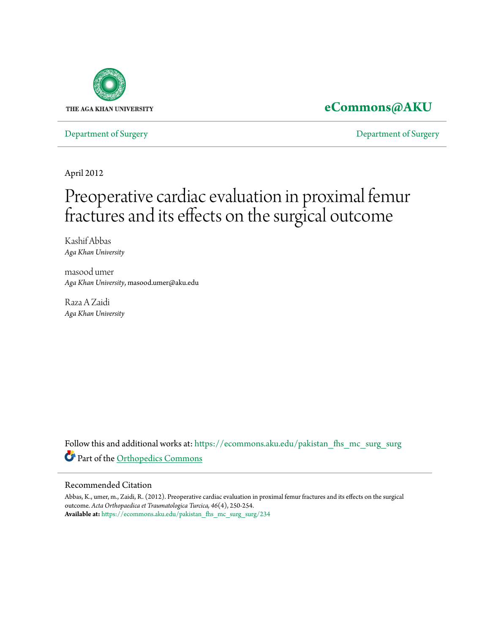

# **[eCommons@AKU](https://ecommons.aku.edu?utm_source=ecommons.aku.edu%2Fpakistan_fhs_mc_surg_surg%2F234&utm_medium=PDF&utm_campaign=PDFCoverPages)**

[Department of Surgery](https://ecommons.aku.edu/pakistan_fhs_mc_surg_surg?utm_source=ecommons.aku.edu%2Fpakistan_fhs_mc_surg_surg%2F234&utm_medium=PDF&utm_campaign=PDFCoverPages) [Department of Surgery](https://ecommons.aku.edu/pakistan_fhs_mc_surg?utm_source=ecommons.aku.edu%2Fpakistan_fhs_mc_surg_surg%2F234&utm_medium=PDF&utm_campaign=PDFCoverPages)

April 2012

# Preoperative cardiac evaluation in proximal femur fractures and its effects on the surgical outcome

Kashif Abbas *Aga Khan University*

masood umer *Aga Khan University*, masood.umer@aku.edu

Raza A Zaidi *Aga Khan University*

Follow this and additional works at: [https://ecommons.aku.edu/pakistan\\_fhs\\_mc\\_surg\\_surg](https://ecommons.aku.edu/pakistan_fhs_mc_surg_surg?utm_source=ecommons.aku.edu%2Fpakistan_fhs_mc_surg_surg%2F234&utm_medium=PDF&utm_campaign=PDFCoverPages) Part of the [Orthopedics Commons](http://network.bepress.com/hgg/discipline/696?utm_source=ecommons.aku.edu%2Fpakistan_fhs_mc_surg_surg%2F234&utm_medium=PDF&utm_campaign=PDFCoverPages)

## Recommended Citation

Abbas, K., umer, m., Zaidi, R. (2012). Preoperative cardiac evaluation in proximal femur fractures and its effects on the surgical outcome. *Acta Orthopaedica et Traumatologica Turcica, 46*(4), 250-254. **Available at:** [https://ecommons.aku.edu/pakistan\\_fhs\\_mc\\_surg\\_surg/234](https://ecommons.aku.edu/pakistan_fhs_mc_surg_surg/234)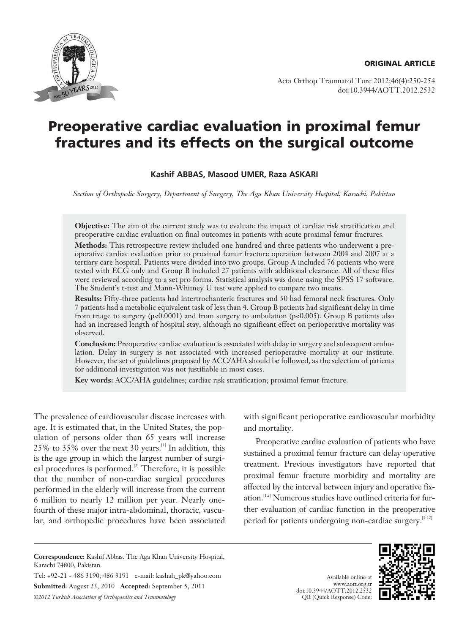**ORIGINAL ARTICLE**



Acta Orthop Traumatol Turc 2012;46(4):250-254 doi:10.3944/AOTT.2012.2532

# **Preoperative cardiac evaluation in proximal femur fractures and its effects on the surgical outcome**

### **Kashif ABBAS, Masood UMER, Raza ASKARI**

*Section of Orthopedic Surgery, Department of Surgery, The Aga Khan University Hospital, Karachi, Pakistan*

**Objective:** The aim of the current study was to evaluate the impact of cardiac risk stratification and preoperative cardiac evaluation on final outcomes in patients with acute proximal femur fractures.

**Methods:** This retrospective review included one hundred and three patients who underwent a preoperative cardiac evaluation prior to proximal femur fracture operation between 2004 and 2007 at a tertiary care hospital. Patients were divided into two groups. Group A included 76 patients who were tested with ECG only and Group B included 27 patients with additional clearance. All of these files were reviewed according to a set pro forma. Statistical analysis was done using the SPSS 17 software. The Student's t-test and Mann-Whitney U test were applied to compare two means.

**Results:** Fifty-three patients had intertrochanteric fractures and 50 had femoral neck fractures. Only 7 patients had a metabolic equivalent task of less than 4. Group B patients had significant delay in time from triage to surgery (p<0.0001) and from surgery to ambulation (p<0.005). Group B patients also had an increased length of hospital stay, although no significant effect on perioperative mortality was observed.

**Conclusion:** Preoperative cardiac evaluation is associated with delay in surgery and subsequent ambulation. Delay in surgery is not associated with increased perioperative mortality at our institute. However, the set of guidelines proposed by ACC/AHA should be followed, as the selection of patients for additional investigation was not justifiable in most cases.

**Key words:** ACC/AHA guidelines; cardiac risk stratification; proximal femur fracture.

The prevalence of cardiovascular disease increases with age. It is estimated that, in the United States, the population of persons older than 65 years will increase 25% to 35% over the next 30 years.[1] In addition, this is the age group in which the largest number of surgical procedures is performed.<sup>[2]</sup> Therefore, it is possible that the number of non-cardiac surgical procedures performed in the elderly will increase from the current 6 million to nearly 12 million per year. Nearly onefourth of these major intra-abdominal, thoracic, vascular, and orthopedic procedures have been associated with significant perioperative cardiovascular morbidity and mortality.

Preoperative cardiac evaluation of patients who have sustained a proximal femur fracture can delay operative treatment. Previous investigators have reported that proximal femur fracture morbidity and mortality are affected by the interval between injury and operative fixation.<sup>[1,2]</sup> Numerous studies have outlined criteria for further evaluation of cardiac function in the preoperative period for patients undergoing non-cardiac surgery.<sup>[3-12]</sup>

Tel: +92-21 - 486 3190, 486 3191 e-mail: kashah\_pk@yahoo.com **Submitted:** August 23, 2010 **Accepted:** September 5, 2011 *©2012 Turkish Association of Orthopaedics and Traumatology*





**Correspondence:** Kashif Abbas. The Aga Khan University Hospital, Karachi 74800, Pakistan.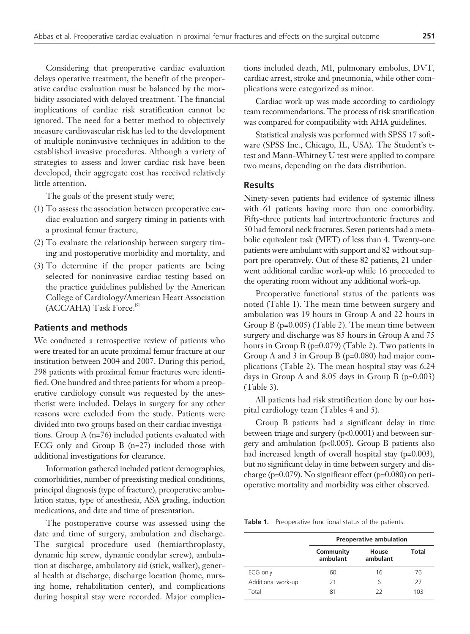Considering that preoperative cardiac evaluation delays operative treatment, the benefit of the preoperative cardiac evaluation must be balanced by the morbidity associated with delayed treatment. The financial implications of cardiac risk stratification cannot be ignored. The need for a better method to objectively measure cardiovascular risk has led to the development of multiple noninvasive techniques in addition to the established invasive procedures. Although a variety of strategies to assess and lower cardiac risk have been developed, their aggregate cost has received relatively little attention.

The goals of the present study were;

- (1) To assess the association between preoperative cardiac evaluation and surgery timing in patients with a proximal femur fracture,
- (2) To evaluate the relationship between surgery timing and postoperative morbidity and mortality, and
- (3) To determine if the proper patients are being selected for noninvasive cardiac testing based on the practice guidelines published by the American College of Cardiology/American Heart Association (ACC/AHA) Task Force.[5]

#### **Patients and methods**

We conducted a retrospective review of patients who were treated for an acute proximal femur fracture at our institution between 2004 and 2007. During this period, 298 patients with proximal femur fractures were identified. One hundred and three patients for whom a preoperative cardiology consult was requested by the anesthetist were included. Delays in surgery for any other reasons were excluded from the study. Patients were divided into two groups based on their cardiac investigations. Group A (n=76) included patients evaluated with ECG only and Group B (n=27) included those with additional investigations for clearance.

Information gathered included patient demographics, comorbidities, number of preexisting medical conditions, principal diagnosis (type of fracture), preoperative ambulation status, type of anesthesia, ASA grading, induction medications, and date and time of presentation.

The postoperative course was assessed using the date and time of surgery, ambulation and discharge. The surgical procedure used (hemiarthroplasty, dynamic hip screw, dynamic condylar screw), ambulation at discharge, ambulatory aid (stick, walker), general health at discharge, discharge location (home, nursing home, rehabilitation center), and complications during hospital stay were recorded. Major complications included death, MI, pulmonary embolus, DVT, cardiac arrest, stroke and pneumonia, while other complications were categorized as minor.

Cardiac work-up was made according to cardiology team recommendations. The process of risk stratification was compared for compatibility with AHA guidelines.

Statistical analysis was performed with SPSS 17 software (SPSS Inc., Chicago, IL, USA). The Student's ttest and Mann-Whitney U test were applied to compare two means, depending on the data distribution.

#### **Results**

Ninety-seven patients had evidence of systemic illness with 61 patients having more than one comorbidity. Fifty-three patients had intertrochanteric fractures and 50 had femoral neck fractures. Seven patients had a metabolic equivalent task (MET) of less than 4. Twenty-one patients were ambulant with support and 82 without support pre-operatively. Out of these 82 patients, 21 underwent additional cardiac work-up while 16 proceeded to the operating room without any additional work-up.

Preoperative functional status of the patients was noted (Table 1). The mean time between surgery and ambulation was 19 hours in Group A and 22 hours in Group B (p=0.005) (Table 2). The mean time between surgery and discharge was 85 hours in Group A and 75 hours in Group B (p=0.079) (Table 2). Two patients in Group A and 3 in Group B (p=0.080) had major complications (Table 2). The mean hospital stay was 6.24 days in Group A and 8.05 days in Group B (p=0.003) (Table 3).

All patients had risk stratification done by our hospital cardiology team (Tables 4 and 5).

Group B patients had a significant delay in time between triage and surgery (p<0.0001) and between surgery and ambulation (p<0.005). Group B patients also had increased length of overall hospital stay (p=0.003), but no significant delay in time between surgery and discharge (p=0.079). No significant effect (p=0.080) on perioperative mortality and morbidity was either observed.

**Table 1.** Preoperative functional status of the patients.

|                    | <b>Preoperative ambulation</b> |                   |       |
|--------------------|--------------------------------|-------------------|-------|
|                    | Community<br>ambulant          | House<br>ambulant | Total |
| ECG only           | 60                             | 16                | 76    |
| Additional work-up | 21                             | 6                 | 27    |
| Total              | 81                             | 22                | 103   |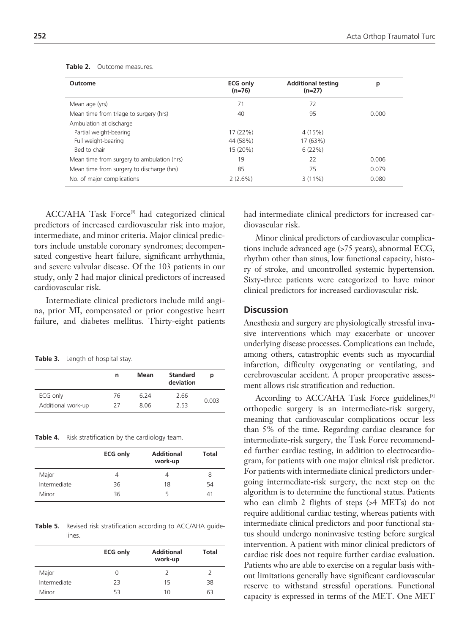| Outcome                                    | <b>ECG only</b><br>$(n=76)$ | <b>Additional testing</b><br>$(n=27)$ | р     |
|--------------------------------------------|-----------------------------|---------------------------------------|-------|
| Mean age (yrs)                             | 71                          | 72                                    |       |
| Mean time from triage to surgery (hrs)     | 40                          | 95                                    | 0.000 |
| Ambulation at discharge                    |                             |                                       |       |
| Partial weight-bearing                     | 17 (22%)                    | 4(15%)                                |       |
| Full weight-bearing                        | 44 (58%)                    | 17 (63%)                              |       |
| Bed to chair                               | 15 (20%)                    | 6(22%)                                |       |
| Mean time from surgery to ambulation (hrs) | 19                          | 22                                    | 0.006 |
| Mean time from surgery to discharge (hrs)  | 85                          | 75                                    | 0.079 |
| No. of major complications                 | 2(2.6%)                     | 3(11%)                                | 0.080 |

**Table 2.** Outcome measures.

ACC/AHA Task Force<sup>[5]</sup> had categorized clinical predictors of increased cardiovascular risk into major, intermediate, and minor criteria. Major clinical predictors include unstable coronary syndromes; decompensated congestive heart failure, significant arrhythmia, and severe valvular disease. Of the 103 patients in our study, only 2 had major clinical predictors of increased cardiovascular risk.

Intermediate clinical predictors include mild angina, prior MI, compensated or prior congestive heart failure, and diabetes mellitus. Thirty-eight patients

Table 3. Length of hospital stay.

|                    | n  | Mean | <b>Standard</b><br>deviation | р     |
|--------------------|----|------|------------------------------|-------|
| ECG only           | 76 | 6.24 | 2.66                         | 0.003 |
| Additional work-up | 27 | 8.06 | 2.53                         |       |

**Table 4.** Risk stratification by the cardiology team.

|              | <b>ECG only</b> | <b>Additional</b><br>work-up | Total |
|--------------|-----------------|------------------------------|-------|
| Major        | 4               | 4                            | 8     |
| Intermediate | 36              | 18                           | 54    |
| Minor        | 36              | ↳                            | 41    |

**Table 5.** Revised risk stratification according to ACC/AHA guidelines.

|              | <b>ECG only</b> | <b>Additional</b><br>work-up | Total |
|--------------|-----------------|------------------------------|-------|
| Major        | 0               | 2                            |       |
| Intermediate | 23              | 15                           | 38    |
| Minor        | 53              | 10                           | 63    |

had intermediate clinical predictors for increased cardiovascular risk.

Minor clinical predictors of cardiovascular complications include advanced age (>75 years), abnormal ECG, rhythm other than sinus, low functional capacity, history of stroke, and uncontrolled systemic hypertension. Sixty-three patients were categorized to have minor clinical predictors for increased cardiovascular risk.

#### **Discussion**

Anesthesia and surgery are physiologically stressful invasive interventions which may exacerbate or uncover underlying disease processes. Complications can include, among others, catastrophic events such as myocardial infarction, difficulty oxygenating or ventilating, and cerebrovascular accident. A proper preoperative assessment allows risk stratification and reduction.

According to ACC/AHA Task Force guidelines,<sup>[5]</sup> orthopedic surgery is an intermediate-risk surgery, meaning that cardiovascular complications occur less than 5% of the time. Regarding cardiac clearance for intermediate-risk surgery, the Task Force recommended further cardiac testing, in addition to electrocardiogram, for patients with one major clinical risk predictor. For patients with intermediate clinical predictors undergoing intermediate-risk surgery, the next step on the algorithm is to determine the functional status. Patients who can climb 2 flights of steps (>4 METs) do not require additional cardiac testing, whereas patients with intermediate clinical predictors and poor functional status should undergo noninvasive testing before surgical intervention. A patient with minor clinical predictors of cardiac risk does not require further cardiac evaluation. Patients who are able to exercise on a regular basis without limitations generally have significant cardiovascular reserve to withstand stressful operations. Functional capacity is expressed in terms of the MET. One MET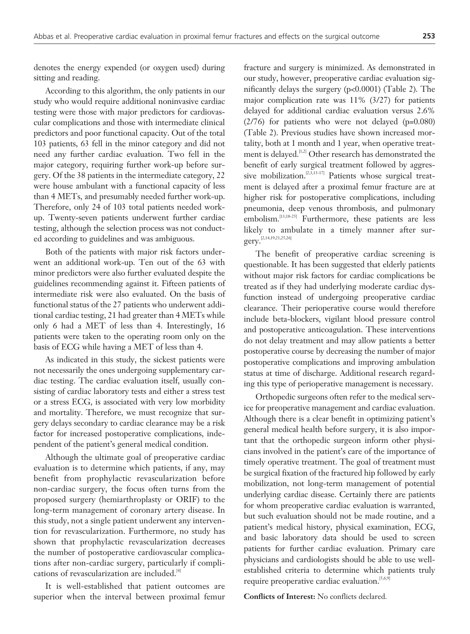denotes the energy expended (or oxygen used) during sitting and reading.

According to this algorithm, the only patients in our study who would require additional noninvasive cardiac testing were those with major predictors for cardiovascular complications and those with intermediate clinical predictors and poor functional capacity. Out of the total 103 patients, 63 fell in the minor category and did not need any further cardiac evaluation. Two fell in the major category, requiring further work-up before surgery. Of the 38 patients in the intermediate category, 22 were house ambulant with a functional capacity of less than 4 METs, and presumably needed further work-up. Therefore, only 24 of 103 total patients needed workup. Twenty-seven patients underwent further cardiac testing, although the selection process was not conducted according to guidelines and was ambiguous.

Both of the patients with major risk factors underwent an additional work-up. Ten out of the 63 with minor predictors were also further evaluated despite the guidelines recommending against it. Fifteen patients of intermediate risk were also evaluated. On the basis of functional status of the 27 patients who underwent additional cardiac testing, 21 had greater than 4 METs while only 6 had a MET of less than 4. Interestingly, 16 patients were taken to the operating room only on the basis of ECG while having a MET of less than 4.

As indicated in this study, the sickest patients were not necessarily the ones undergoing supplementary cardiac testing. The cardiac evaluation itself, usually consisting of cardiac laboratory tests and either a stress test or a stress ECG, is associated with very low morbidity and mortality. Therefore, we must recognize that surgery delays secondary to cardiac clearance may be a risk factor for increased postoperative complications, independent of the patient's general medical condition.

Although the ultimate goal of preoperative cardiac evaluation is to determine which patients, if any, may benefit from prophylactic revascularization before non-cardiac surgery, the focus often turns from the proposed surgery (hemiarthroplasty or ORIF) to the long-term management of coronary artery disease. In this study, not a single patient underwent any intervention for revascularization. Furthermore, no study has shown that prophylactic revascularization decreases the number of postoperative cardiovascular complications after non-cardiac surgery, particularly if complications of revascularization are included.[4]

It is well-established that patient outcomes are superior when the interval between proximal femur fracture and surgery is minimized. As demonstrated in our study, however, preoperative cardiac evaluation significantly delays the surgery (p<0.0001) (Table 2). The major complication rate was 11% (3/27) for patients delayed for additional cardiac evaluation versus 2.6% (2/76) for patients who were not delayed (p=0.080) (Table 2). Previous studies have shown increased mortality, both at 1 month and 1 year, when operative treatment is delayed.<sup>[1,2]</sup> Other research has demonstrated the benefit of early surgical treatment followed by aggressive mobilization.<sup>[2,3,13-17]</sup> Patients whose surgical treatment is delayed after a proximal femur fracture are at higher risk for postoperative complications, including pneumonia, deep venous thrombosis, and pulmonary embolism.<sup>[13,18-25]</sup> Furthermore, these patients are less likely to ambulate in a timely manner after surgery.<sup>[2,14,19,21,25,26]</sup>

The benefit of preoperative cardiac screening is questionable. It has been suggested that elderly patients without major risk factors for cardiac complications be treated as if they had underlying moderate cardiac dysfunction instead of undergoing preoperative cardiac clearance. Their perioperative course would therefore include beta-blockers, vigilant blood pressure control and postoperative anticoagulation. These interventions do not delay treatment and may allow patients a better postoperative course by decreasing the number of major postoperative complications and improving ambulation status at time of discharge. Additional research regarding this type of perioperative management is necessary.

Orthopedic surgeons often refer to the medical service for preoperative management and cardiac evaluation. Although there is a clear benefit in optimizing patient's general medical health before surgery, it is also important that the orthopedic surgeon inform other physicians involved in the patient's care of the importance of timely operative treatment. The goal of treatment must be surgical fixation of the fractured hip followed by early mobilization, not long-term management of potential underlying cardiac disease. Certainly there are patients for whom preoperative cardiac evaluation is warranted, but such evaluation should not be made routine, and a patient's medical history, physical examination, ECG, and basic laboratory data should be used to screen patients for further cardiac evaluation. Primary care physicians and cardiologists should be able to use wellestablished criteria to determine which patients truly require preoperative cardiac evaluation.<sup>[5,6,9]</sup>

**Conflicts of Interest:** No conflicts declared.